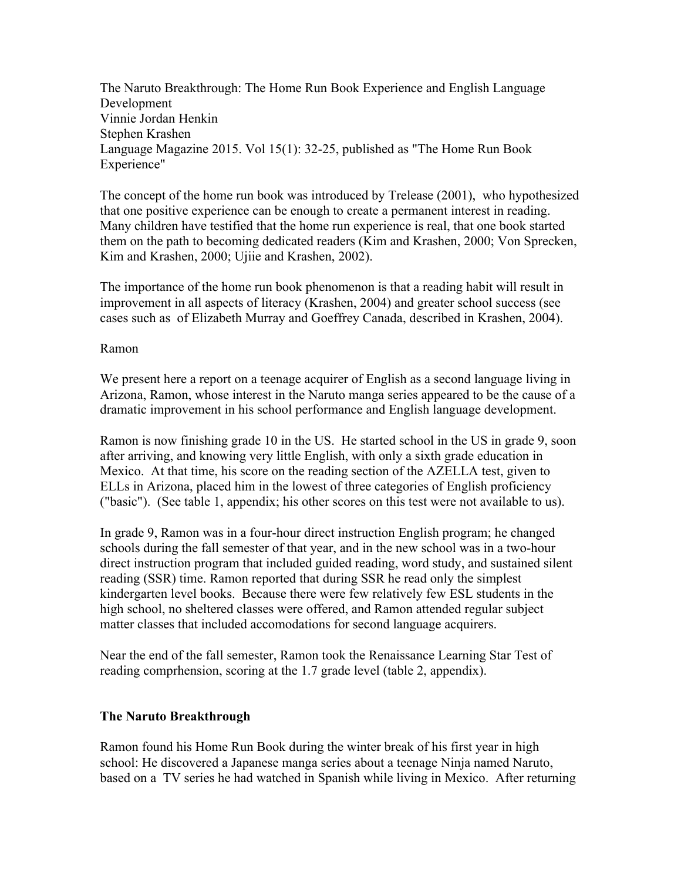The Naruto Breakthrough: The Home Run Book Experience and English Language Development Vinnie Jordan Henkin Stephen Krashen Language Magazine 2015. Vol 15(1): 32-25, published as "The Home Run Book Experience"

The concept of the home run book was introduced by Trelease (2001), who hypothesized that one positive experience can be enough to create a permanent interest in reading. Many children have testified that the home run experience is real, that one book started them on the path to becoming dedicated readers (Kim and Krashen, 2000; Von Sprecken, Kim and Krashen, 2000; Ujiie and Krashen, 2002).

The importance of the home run book phenomenon is that a reading habit will result in improvement in all aspects of literacy (Krashen, 2004) and greater school success (see cases such as of Elizabeth Murray and Goeffrey Canada, described in Krashen, 2004).

## Ramon

We present here a report on a teenage acquirer of English as a second language living in Arizona, Ramon, whose interest in the Naruto manga series appeared to be the cause of a dramatic improvement in his school performance and English language development.

Ramon is now finishing grade 10 in the US. He started school in the US in grade 9, soon after arriving, and knowing very little English, with only a sixth grade education in Mexico. At that time, his score on the reading section of the AZELLA test, given to ELLs in Arizona, placed him in the lowest of three categories of English proficiency ("basic"). (See table 1, appendix; his other scores on this test were not available to us).

In grade 9, Ramon was in a four-hour direct instruction English program; he changed schools during the fall semester of that year, and in the new school was in a two-hour direct instruction program that included guided reading, word study, and sustained silent reading (SSR) time. Ramon reported that during SSR he read only the simplest kindergarten level books. Because there were few relatively few ESL students in the high school, no sheltered classes were offered, and Ramon attended regular subject matter classes that included accomodations for second language acquirers.

Near the end of the fall semester, Ramon took the Renaissance Learning Star Test of reading comprhension, scoring at the 1.7 grade level (table 2, appendix).

## **The Naruto Breakthrough**

Ramon found his Home Run Book during the winter break of his first year in high school: He discovered a Japanese manga series about a teenage Ninja named Naruto, based on a TV series he had watched in Spanish while living in Mexico. After returning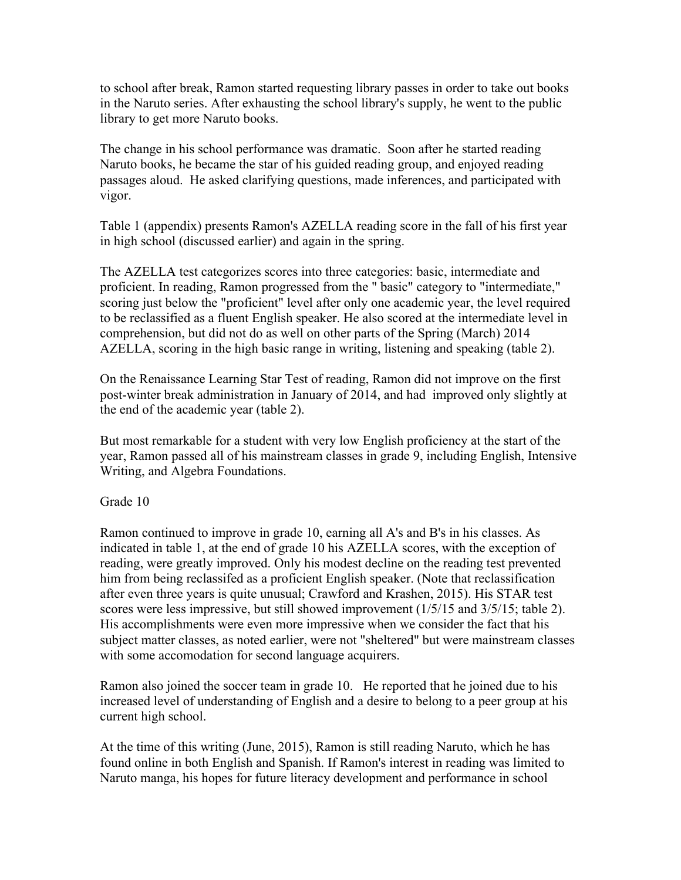to school after break, Ramon started requesting library passes in order to take out books in the Naruto series. After exhausting the school library's supply, he went to the public library to get more Naruto books.

The change in his school performance was dramatic. Soon after he started reading Naruto books, he became the star of his guided reading group, and enjoyed reading passages aloud. He asked clarifying questions, made inferences, and participated with vigor.

Table 1 (appendix) presents Ramon's AZELLA reading score in the fall of his first year in high school (discussed earlier) and again in the spring.

The AZELLA test categorizes scores into three categories: basic, intermediate and proficient. In reading, Ramon progressed from the " basic" category to "intermediate," scoring just below the "proficient" level after only one academic year, the level required to be reclassified as a fluent English speaker. He also scored at the intermediate level in comprehension, but did not do as well on other parts of the Spring (March) 2014 AZELLA, scoring in the high basic range in writing, listening and speaking (table 2).

On the Renaissance Learning Star Test of reading, Ramon did not improve on the first post-winter break administration in January of 2014, and had improved only slightly at the end of the academic year (table 2).

But most remarkable for a student with very low English proficiency at the start of the year, Ramon passed all of his mainstream classes in grade 9, including English, Intensive Writing, and Algebra Foundations.

Grade 10

Ramon continued to improve in grade 10, earning all A's and B's in his classes. As indicated in table 1, at the end of grade 10 his AZELLA scores, with the exception of reading, were greatly improved. Only his modest decline on the reading test prevented him from being reclassifed as a proficient English speaker. (Note that reclassification after even three years is quite unusual; Crawford and Krashen, 2015). His STAR test scores were less impressive, but still showed improvement (1/5/15 and 3/5/15; table 2). His accomplishments were even more impressive when we consider the fact that his subject matter classes, as noted earlier, were not "sheltered" but were mainstream classes with some accomodation for second language acquirers.

Ramon also joined the soccer team in grade 10. He reported that he joined due to his increased level of understanding of English and a desire to belong to a peer group at his current high school.

At the time of this writing (June, 2015), Ramon is still reading Naruto, which he has found online in both English and Spanish. If Ramon's interest in reading was limited to Naruto manga, his hopes for future literacy development and performance in school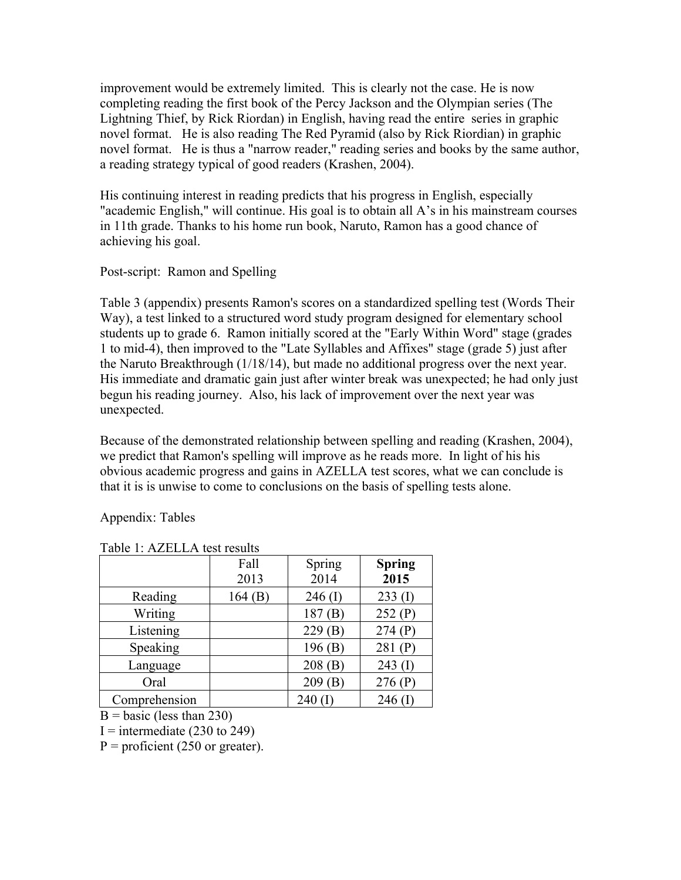improvement would be extremely limited. This is clearly not the case. He is now completing reading the first book of the Percy Jackson and the Olympian series (The Lightning Thief, by Rick Riordan) in English, having read the entire series in graphic novel format. He is also reading The Red Pyramid (also by Rick Riordian) in graphic novel format. He is thus a "narrow reader," reading series and books by the same author, a reading strategy typical of good readers (Krashen, 2004).

His continuing interest in reading predicts that his progress in English, especially "academic English," will continue. His goal is to obtain all A's in his mainstream courses in 11th grade. Thanks to his home run book, Naruto, Ramon has a good chance of achieving his goal.

## Post-script: Ramon and Spelling

Table 3 (appendix) presents Ramon's scores on a standardized spelling test (Words Their Way), a test linked to a structured word study program designed for elementary school students up to grade 6. Ramon initially scored at the "Early Within Word" stage (grades 1 to mid-4), then improved to the "Late Syllables and Affixes" stage (grade 5) just after the Naruto Breakthrough (1/18/14), but made no additional progress over the next year. His immediate and dramatic gain just after winter break was unexpected; he had only just begun his reading journey. Also, his lack of improvement over the next year was unexpected.

Because of the demonstrated relationship between spelling and reading (Krashen, 2004), we predict that Ramon's spelling will improve as he reads more. In light of his his obvious academic progress and gains in AZELLA test scores, what we can conclude is that it is is unwise to come to conclusions on the basis of spelling tests alone.

Appendix: Tables

|               | Fall<br>2013 | Spring<br>2014 | <b>Spring</b><br>2015 |
|---------------|--------------|----------------|-----------------------|
| Reading       | 164(B)       | $246$ (I)      | $233 \text{ (I)}$     |
| Writing       |              | 187(B)         | 252(P)                |
| Listening     |              | 229(B)         | 274(P)                |
| Speaking      |              | 196(B)         | 281 $(P)$             |
| Language      |              | 208(B)         | $243 \; (I)$          |
| Oral          |              | 209(B)         | 276(P)                |
| Comprehension |              | $240 \; (I$    | 246 $($ $\Gamma$      |

Table 1: AZELLA test results

 $B = basic$  (less than 230)

I = intermediate  $(230 \text{ to } 249)$ 

 $P =$  proficient (250 or greater).